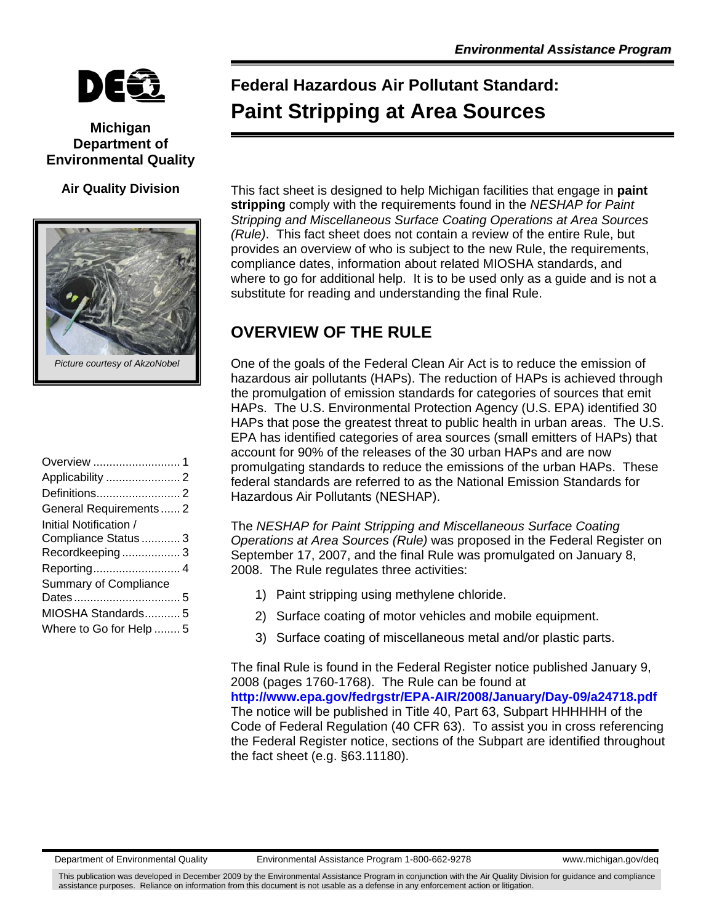

### **Michigan Department of Environmental Quality**

#### **Air Quality Division**



# **Federal Hazardous Air Pollutant Standard: Paint Stripping at Area Sources**

This fact sheet is designed to help Michigan facilities that engage in **paint stripping** comply with the requirements found in the *NESHAP for Paint Stripping and Miscellaneous Surface Coating Operations at Area Sources (Rule)*. This fact sheet does not contain a review of the entire Rule, but provides an overview of who is subject to the new Rule, the requirements, compliance dates, information about related MIOSHA standards, and where to go for additional help. It is to be used only as a guide and is not a substitute for reading and understanding the final Rule.

# **OVERVIEW OF THE RULE**

One of the goals of the Federal Clean Air Act is to reduce the emission of hazardous air pollutants (HAPs). The reduction of HAPs is achieved through the promulgation of emission standards for categories of sources that emit HAPs. The U.S. Environmental Protection Agency (U.S. EPA) identified 30 HAPs that pose the greatest threat to public health in urban areas. The U.S. EPA has identified categories of area sources (small emitters of HAPs) that account for 90% of the releases of the 30 urban HAPs and are now promulgating standards to reduce the emissions of the urban HAPs. These federal standards are referred to as the National Emission Standards for Hazardous Air Pollutants (NESHAP).

The *NESHAP for Paint Stripping and Miscellaneous Surface Coating Operations at Area Sources (Rule)* was proposed in the Federal Register on September 17, 2007, and the final Rule was promulgated on January 8, 2008. The Rule regulates three activities:

- 1) Paint stripping using methylene chloride.
- 2) Surface coating of motor vehicles and mobile equipment.
- 3) Surface coating of miscellaneous metal and/or plastic parts.

The final Rule is found in the Federal Register notice published January 9, 2008 (pages 1760-1768). The Rule can be found at **<http://www.epa.gov/fedrgstr/EPA-AIR/2008/January/Day-09/a24718.pdf>** The notice will be published in Title 40, Part 63, Subpart HHHHHH of the Code of Federal Regulation (40 CFR 63). To assist you in cross referencing the Federal Register notice, sections of the Subpart are identified throughout the fact sheet (e.g. §63.11180).

This publication was developed in December 2009 by the Environmental Assistance Program in conjunction with the Air Quality Division for guidance and compliance assistance purposes. Reliance on information from this document is not usable as a defense in any enforcement action or litigation.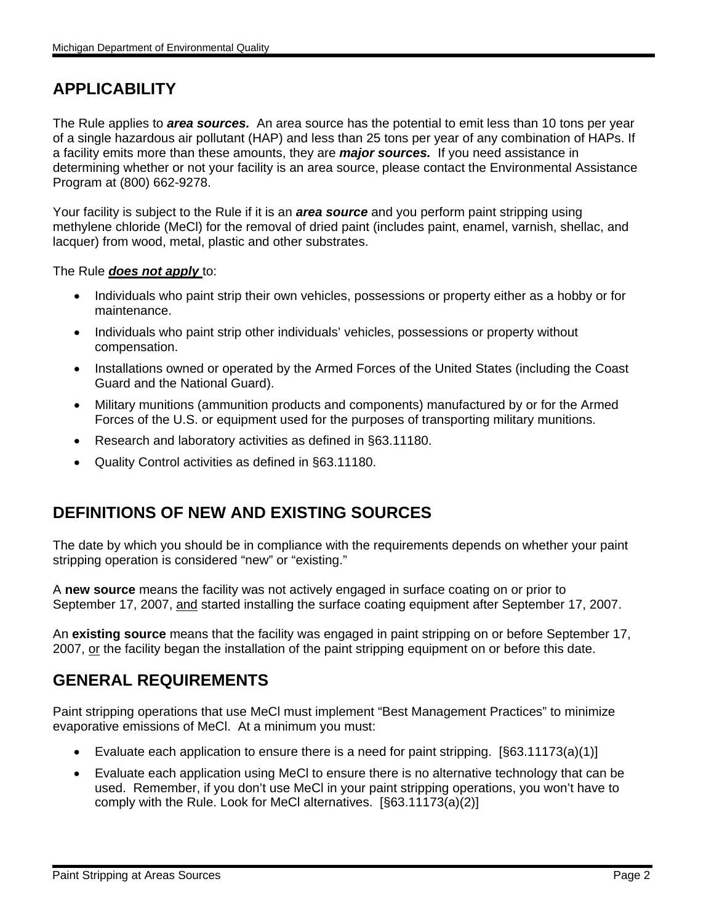# **APPLICABILITY**

The Rule applies to *area sources.* An area source has the potential to emit less than 10 tons per year of a single hazardous air pollutant (HAP) and less than 25 tons per year of any combination of HAPs. If a facility emits more than these amounts, they are *major sources.* If you need assistance in determining whether or not your facility is an area source, please contact the Environmental Assistance Program at (800) 662-9278.

Your facility is subject to the Rule if it is an *area source* and you perform paint stripping using methylene chloride (MeCl) for the removal of dried paint (includes paint, enamel, varnish, shellac, and lacquer) from wood, metal, plastic and other substrates.

#### The Rule *does not apply* to:

- Individuals who paint strip their own vehicles, possessions or property either as a hobby or for maintenance.
- Individuals who paint strip other individuals' vehicles, possessions or property without compensation.
- Installations owned or operated by the Armed Forces of the United States (including the Coast Guard and the National Guard).
- Military munitions (ammunition products and components) manufactured by or for the Armed Forces of the U.S. or equipment used for the purposes of transporting military munitions.
- Research and laboratory activities as defined in §63.11180.
- Quality Control activities as defined in §63.11180.

### **DEFINITIONS OF NEW AND EXISTING SOURCES**

The date by which you should be in compliance with the requirements depends on whether your paint stripping operation is considered "new" or "existing."

A **new source** means the facility was not actively engaged in surface coating on or prior to September 17, 2007, and started installing the surface coating equipment after September 17, 2007.

An **existing source** means that the facility was engaged in paint stripping on or before September 17, 2007, or the facility began the installation of the paint stripping equipment on or before this date.

### **GENERAL REQUIREMENTS**

Paint stripping operations that use MeCl must implement "Best Management Practices" to minimize evaporative emissions of MeCl. At a minimum you must:

- Evaluate each application to ensure there is a need for paint stripping.  $[§63.11173(a)(1)]$
- Evaluate each application using MeCl to ensure there is no alternative technology that can be used. Remember, if you don't use MeCl in your paint stripping operations, you won't have to comply with the Rule. Look for MeCl alternatives. [§63.11173(a)(2)]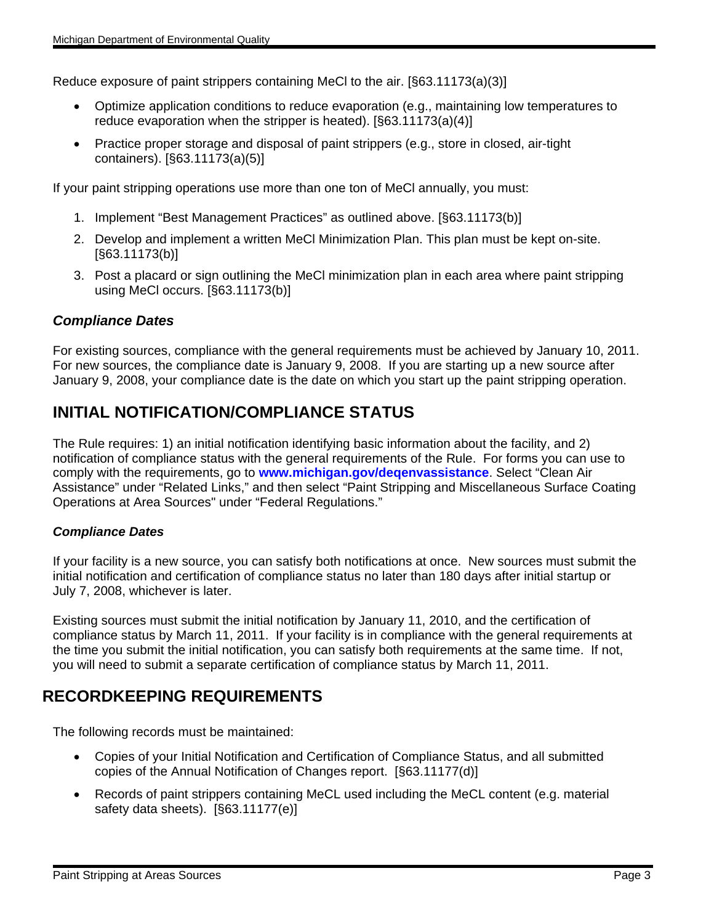Reduce exposure of paint strippers containing MeCl to the air. [§63.11173(a)(3)]

- Optimize application conditions to reduce evaporation (e.g., maintaining low temperatures to reduce evaporation when the stripper is heated). [§63.11173(a)(4)]
- Practice proper storage and disposal of paint strippers (e.g., store in closed, air-tight containers). [§63.11173(a)(5)]

If your paint stripping operations use more than one ton of MeCl annually, you must:

- 1. Implement "Best Management Practices" as outlined above. [§63.11173(b)]
- 2. Develop and implement a written MeCl Minimization Plan. This plan must be kept on-site. [§63.11173(b)]
- 3. Post a placard or sign outlining the MeCl minimization plan in each area where paint stripping using MeCl occurs. [§63.11173(b)]

#### *Compliance Dates*

For existing sources, compliance with the general requirements must be achieved by January 10, 2011. For new sources, the compliance date is January 9, 2008. If you are starting up a new source after January 9, 2008, your compliance date is the date on which you start up the paint stripping operation.

### **INITIAL NOTIFICATION/COMPLIANCE STATUS**

The Rule requires: 1) an initial notification identifying basic information about the facility, and 2) notification of compliance status with the general requirements of the Rule. For forms you can use to comply with the requirements, go to **[www.michigan.gov/deqenvassistance](http://www.michigan.gov/deqenvassistance)**. Select "Clean Air Assistance" under "Related Links," and then select "Paint Stripping and Miscellaneous Surface Coating Operations at Area Sources" under "Federal Regulations."

#### *Compliance Dates*

If your facility is a new source, you can satisfy both notifications at once. New sources must submit the initial notification and certification of compliance status no later than 180 days after initial startup or July 7, 2008, whichever is later.

Existing sources must submit the initial notification by January 11, 2010, and the certification of compliance status by March 11, 2011. If your facility is in compliance with the general requirements at the time you submit the initial notification, you can satisfy both requirements at the same time. If not, you will need to submit a separate certification of compliance status by March 11, 2011.

### **RECORDKEEPING REQUIREMENTS**

The following records must be maintained:

- Copies of your Initial Notification and Certification of Compliance Status, and all submitted copies of the Annual Notification of Changes report. [§63.11177(d)]
- Records of paint strippers containing MeCL used including the MeCL content (e.g. material safety data sheets). [§63.11177(e)]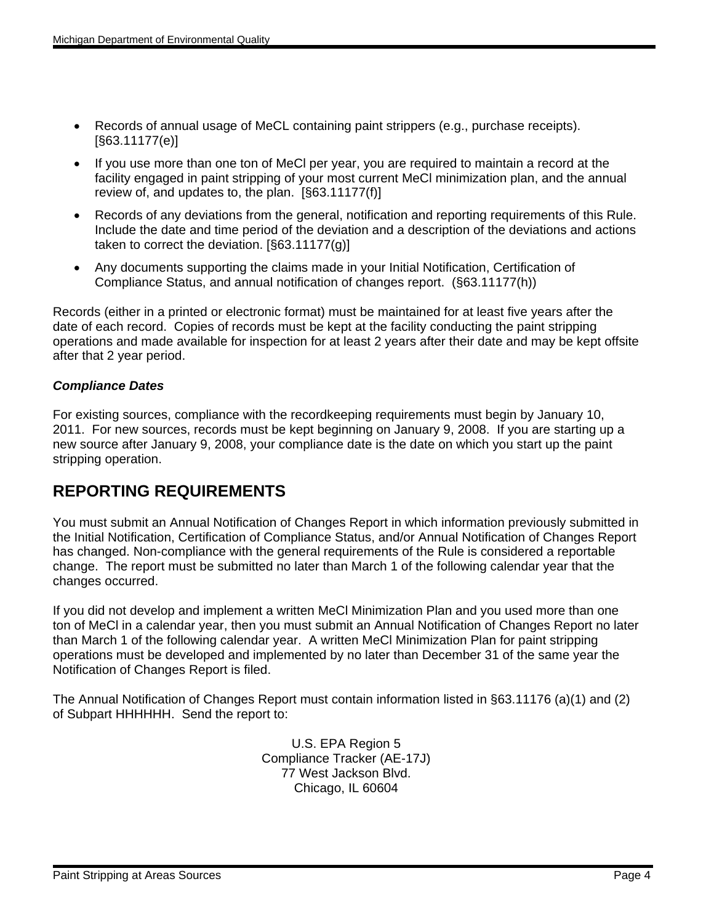- Records of annual usage of MeCL containing paint strippers (e.g., purchase receipts). [§63.11177(e)]
- If you use more than one ton of MeCl per year, you are required to maintain a record at the facility engaged in paint stripping of your most current MeCl minimization plan, and the annual review of, and updates to, the plan. [§63.11177(f)]
- Records of any deviations from the general, notification and reporting requirements of this Rule. Include the date and time period of the deviation and a description of the deviations and actions taken to correct the deviation. [§63.11177(g)]
- Any documents supporting the claims made in your Initial Notification, Certification of Compliance Status, and annual notification of changes report. (§63.11177(h))

Records (either in a printed or electronic format) must be maintained for at least five years after the date of each record. Copies of records must be kept at the facility conducting the paint stripping operations and made available for inspection for at least 2 years after their date and may be kept offsite after that 2 year period.

### *Compliance Dates*

For existing sources, compliance with the recordkeeping requirements must begin by January 10, 2011. For new sources, records must be kept beginning on January 9, 2008. If you are starting up a new source after January 9, 2008, your compliance date is the date on which you start up the paint stripping operation.

### **REPORTING REQUIREMENTS**

You must submit an Annual Notification of Changes Report in which information previously submitted in the Initial Notification, Certification of Compliance Status, and/or Annual Notification of Changes Report has changed. Non-compliance with the general requirements of the Rule is considered a reportable change. The report must be submitted no later than March 1 of the following calendar year that the changes occurred.

If you did not develop and implement a written MeCl Minimization Plan and you used more than one ton of MeCl in a calendar year, then you must submit an Annual Notification of Changes Report no later than March 1 of the following calendar year. A written MeCl Minimization Plan for paint stripping operations must be developed and implemented by no later than December 31 of the same year the Notification of Changes Report is filed.

The Annual Notification of Changes Report must contain information listed in §63.11176 (a)(1) and (2) of Subpart HHHHHH. Send the report to:

> U.S. EPA Region 5 Compliance Tracker (AE-17J) 77 West Jackson Blvd. Chicago, IL 60604